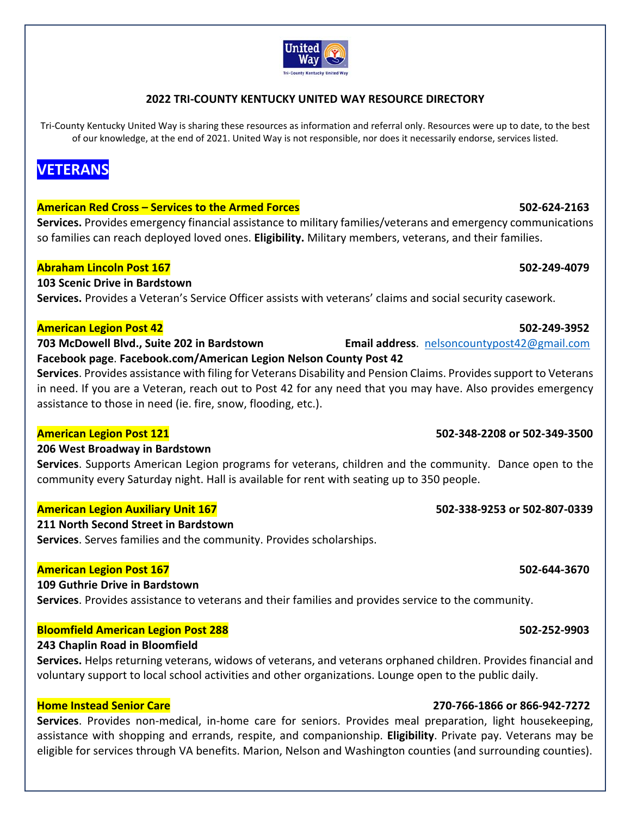### **2022 TRI‐COUNTY KENTUCKY UNITED WAY RESOURCE DIRECTORY**

Tri-County Kentucky United Way is sharing these resources as information and referral only. Resources were up to date, to the best of our knowledge, at the end of 2021. United Way is not responsible, nor does it necessarily endorse, services listed.

# **VETERANS**

### **American Red Cross – Services to the Armed Forces 502‐624‐2163**

**Services.** Provides emergency financial assistance to military families/veterans and emergency communications so families can reach deployed loved ones. **Eligibility.** Military members, veterans, and their families.

### **Abraham Lincoln Post 167 502‐249‐4079**

**103 Scenic Drive in Bardstown Services.** Provides a Veteran's Service Officer assists with veterans' claims and social security casework.

### **American Legion Post 42 502‐249‐3952**

**703 McDowell Blvd., Suite 202 in Bardstown Email address**. nelsoncountypost42@gmail.com **Facebook page**. **Facebook.com/American Legion Nelson County Post 42**

**Services**. Provides assistance with filing for Veterans Disability and Pension Claims. Provides support to Veterans in need. If you are a Veteran, reach out to Post 42 for any need that you may have. Also provides emergency assistance to those in need (ie. fire, snow, flooding, etc.).

### **206 West Broadway in Bardstown**

**Services**. Supports American Legion programs for veterans, children and the community. Dance open to the community every Saturday night. Hall is available for rent with seating up to 350 people.

### **American Legion Auxiliary Unit 167 502‐338‐9253 or 502‐807‐0339**

**211 North Second Street in Bardstown Services**. Serves families and the community. Provides scholarships.

### **American Legion Post 167 502‐644‐3670**

**109 Guthrie Drive in Bardstown** 

**Services**. Provides assistance to veterans and their families and provides service to the community.

### **Bloomfield American Legion Post 288 502‐252‐9903**

## **243 Chaplin Road in Bloomfield**

**Services.** Helps returning veterans, widows of veterans, and veterans orphaned children. Provides financial and voluntary support to local school activities and other organizations. Lounge open to the public daily.

### **Home Instead Senior Care 270‐766‐1866 or 866‐942‐7272**

**Services**. Provides non‐medical, in‐home care for seniors. Provides meal preparation, light housekeeping, assistance with shopping and errands, respite, and companionship. **Eligibility**. Private pay. Veterans may be eligible for services through VA benefits. Marion, Nelson and Washington counties (and surrounding counties).

# **American Legion Post 121 502‐348‐2208 or 502‐349‐3500**

### United Wav **Tri-County Kentucky United Way**